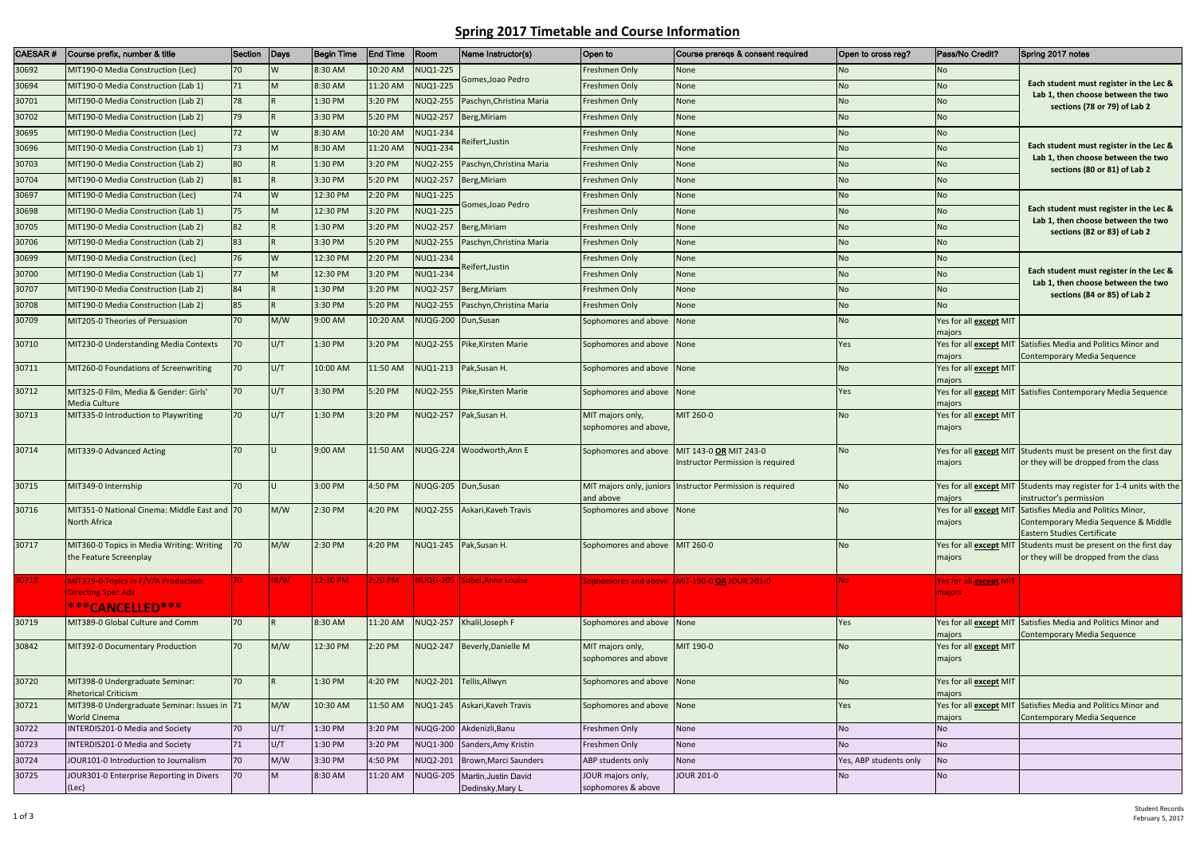## **Spring 2017 Timetable and Course Information**

| CAESAR# | Course prefix, number & title                                                             | Section      | Days     | <b>Begin Time</b> | <b>End Time</b>   | Room                | Name Instructor(s)            | Open to                                   | Course prereqs & consent required                            | Open to cross reg?     | Pass/No Credit?                         | Spring 2017 notes                                                                                             |
|---------|-------------------------------------------------------------------------------------------|--------------|----------|-------------------|-------------------|---------------------|-------------------------------|-------------------------------------------|--------------------------------------------------------------|------------------------|-----------------------------------------|---------------------------------------------------------------------------------------------------------------|
| 30692   | MIT190-0 Media Construction (Lec)                                                         | 70           | <b>W</b> | 8:30 AM           | 10:20 AM          | <b>NUQ1-225</b>     |                               | Freshmen Only                             | <b>None</b>                                                  | No.                    | N <sub>o</sub>                          | Each student must register in the Lec &<br>Lab 1, then choose between the two<br>sections (78 or 79) of Lab 2 |
| 30694   | MIT190-0 Media Construction (Lab 1)                                                       | 71           | M        | 8:30 AM           | 11:20 AM          | <b>NUQ1-225</b>     | Gomes, Joao Pedro             | Freshmen Only                             | None                                                         | <b>No</b>              | No.                                     |                                                                                                               |
| 30701   | MIT190-0 Media Construction (Lab 2)                                                       | 78           | IR.      | 1:30 PM           | 3:20 PM           | <b>NUQ2-255</b>     | Paschyn, Christina Maria      | Freshmen Only                             | None                                                         | <b>No</b>              | No.                                     |                                                                                                               |
| 30702   | MIT190-0 Media Construction (Lab 2)                                                       | 79           | IR.      | 3:30 PM           | 5:20 PM           | <b>NUQ2-257</b>     | Berg, Miriam                  | Freshmen Only                             | None                                                         | <b>No</b>              | N <sub>o</sub>                          |                                                                                                               |
| 30695   | MIT190-0 Media Construction (Lec)                                                         | 72           | W        | 8:30 AM           | 10:20 AM          | <b>NUQ1-234</b>     | Reifert,Justin                | Freshmen Only                             | <b>None</b>                                                  | No                     | No                                      |                                                                                                               |
| 30696   | MIT190-0 Media Construction (Lab 1)                                                       | 73           | <b>M</b> | 8:30 AM           | 11:20 AM          | <b>NUQ1-234</b>     |                               | Freshmen Only                             | None                                                         | <b>No</b>              | N <sub>o</sub>                          | Each student must register in the Lec &<br>Lab 1, then choose between the two<br>sections (80 or 81) of Lab 2 |
| 30703   | MIT190-0 Media Construction (Lab 2)                                                       | 80           |          | 1:30 PM           | 3:20 PM           | <b>NUQ2-255</b>     | Paschyn, Christina Maria      | Freshmen Only                             | <b>None</b>                                                  | <b>No</b>              | N <sub>o</sub>                          |                                                                                                               |
| 30704   | MIT190-0 Media Construction (Lab 2)                                                       | 81           | IR.      | 3:30 PM           | 5:20 PM           |                     | NUQ2-257 Berg, Miriam         | Freshmen Only                             | None                                                         | <b>No</b>              | N <sub>o</sub>                          |                                                                                                               |
| 30697   | MIT190-0 Media Construction (Lec)                                                         | 74           | <b>W</b> | 12:30 PM          | 2:20 PM           | <b>NUQ1-225</b>     |                               | Freshmen Only                             | None                                                         | <b>No</b>              | No                                      | Each student must register in the Lec &                                                                       |
| 30698   | MIT190-0 Media Construction (Lab 1)                                                       | 75           | M        | 12:30 PM          | 3:20 PM           | <b>NUQ1-225</b>     | Gomes,Joao Pedro              | Freshmen Only                             | None                                                         | No                     | <b>No</b>                               |                                                                                                               |
| 30705   | MIT190-0 Media Construction (Lab 2)                                                       | 82           |          | 1:30 PM           | 3:20 PM           | <b>NUQ2-257</b>     | Berg, Miriam                  | Freshmen Only                             | <b>None</b>                                                  | <b>No</b>              | <b>No</b>                               | Lab 1, then choose between the two<br>sections (82 or 83) of Lab 2                                            |
| 30706   | MIT190-0 Media Construction (Lab 2)                                                       | 83           | IR.      | 3:30 PM           | 5:20 PM           | <b>NUQ2-255</b>     | Paschyn, Christina Maria      | Freshmen Only                             | <b>None</b>                                                  | <b>No</b>              | N <sub>o</sub>                          |                                                                                                               |
| 30699   | MIT190-0 Media Construction (Lec)                                                         | 76           | <b>W</b> | 12:30 PM          | 2:20 PM           | <b>NUQ1-234</b>     |                               | Freshmen Only                             | None                                                         | <b>No</b>              | No.                                     |                                                                                                               |
| 30700   | MIT190-0 Media Construction (Lab 1)                                                       | <b>77</b>    | M        | 12:30 PM          | 3:20 PM           | <b>NUQ1-234</b>     | Reifert, Justin               | Freshmen Only                             | <b>None</b>                                                  | <b>No</b>              | <b>No</b>                               | Each student must register in the Lec &                                                                       |
| 30707   | MIT190-0 Media Construction (Lab 2)                                                       | 84           | IR.      | 1:30 PM           | 3:20 PM           | <b>NUQ2-257</b>     | Berg, Miriam                  | Freshmen Only                             | None                                                         | No                     | <b>No</b>                               | Lab 1, then choose between the two<br>sections (84 or 85) of Lab 2                                            |
| 30708   | MIT190-0 Media Construction (Lab 2)                                                       | 85           | IR.      | 3:30 PM           | 5:20 PM           | NUQ2-255            | Paschyn, Christina Maria      | Freshmen Only                             | <b>None</b>                                                  | <b>No</b>              | <b>No</b>                               |                                                                                                               |
| 30709   | MIT205-0 Theories of Persuasion                                                           | 70           | M/W      | 9:00 AM           | 10:20 AM          | <b>NUQG-200</b>     | Dun, Susan                    | Sophomores and above                      | <b>None</b>                                                  | <b>No</b>              | Yes for all <b>except</b> MIT<br>majors |                                                                                                               |
| 30710   | MIT230-0 Understanding Media Contexts                                                     | 170          | U/T      | 1:30 PM           | 3:20 PM           | <b>NUQ2-255</b>     | Pike, Kirsten Marie           | Sophomores and above None                 |                                                              | Yes                    | Yes for all <b>except</b> MIT<br>majors | Satisfies Media and Politics Minor and<br>Contemporary Media Sequence                                         |
| 30711   | MIT260-0 Foundations of Screenwriting                                                     | 170          | U/T      | 10:00 AM          | 11:50 AM          |                     | NUQ1-213 Pak, Susan H.        | Sophomores and above None                 |                                                              | <b>No</b>              | Yes for all <b>except</b> MIT<br>majors |                                                                                                               |
| 30712   | MIT325-0 Film, Media & Gender: Girls'<br>Media Culture                                    | 70           | U/T      | 3:30 PM           | 5:20 PM           | <b>NUQ2-255</b>     | Pike, Kirsten Marie           | Sophomores and above None                 |                                                              | Yes                    | Yes for all <b>except</b> MIT<br>majors | Satisfies Contemporary Media Sequence                                                                         |
| 30713   | MIT335-0 Introduction to Playwriting                                                      | 70           | U/T      | 1:30 PM           | 3:20 PM           |                     | NUQ2-257 Pak, Susan H.        | MIT majors only,<br>sophomores and above, | MIT 260-0                                                    | No                     | Yes for all <b>except</b> MIT<br>majors |                                                                                                               |
| 30714   | MIT339-0 Advanced Acting                                                                  | 70           | ш        | 9:00 AM           | 11:50 AM          |                     | NUQG-224 Woodworth, Ann E     | Sophomores and above                      | MIT 143-0 OR MIT 243-0<br>Instructor Permission is required  | N <sub>o</sub>         | Yes for all <b>except</b> MIT<br>majors | Students must be present on the first day<br>or they will be dropped from the class                           |
| 30715   | MIT349-0 Internship                                                                       | 70           |          | 3:00 PM           | 4:50 PM           | NUQG-205 Dun, Susan |                               | and above                                 | MIT majors only, juniors   Instructor Permission is required | <b>No</b>              | majors                                  | Yes for all <b>except</b> MIT Students may register for 1-4 units with the<br>instructor's permission         |
| 30716   | MIT351-0 National Cinema: Middle East and 70<br>North Africa                              |              | M/W      | 2:30 PM           | 4:20 PM           |                     | NUQ2-255 Askari, Kaveh Travis | Sophomores and above None                 |                                                              | <b>No</b>              | Yes for all except MIT<br>majors        | Satisfies Media and Politics Minor,<br>Contemporary Media Sequence & Middle<br>Eastern Studies Certificate    |
| 30717   | MIT360-0 Topics in Media Writing: Writing 70<br>the Feature Screenplay                    |              | M/W      | 2:30 PM           | 4:20 PM           |                     | NUQ1-245 Pak, Susan H.        | Sophomores and above MIT 260-0            |                                                              | <b>No</b>              | Yes for all except MIT<br>majors        | Students must be present on the first day<br>or they will be dropped from the class                           |
| 30718   | MIT379-0 Topics in F/V/A Production:<br>Directing Spec Ads<br><sup>***</sup> CANCELLED*** | $ 70\rangle$ | M/W      | 12:30 PM          | $2:20 \text{ PM}$ |                     | NUQG-205 Sobel, Anne Louise   |                                           | Sophomores and above MIT 190-0 OR JOUR 201-0                 | No.                    | Yes for all <b>except</b> MIT<br>majors |                                                                                                               |
| 30719   | MIT389-0 Global Culture and Comm                                                          | 70           | IR.      | 8:30 AM           | 11:20 AM          |                     | NUQ2-257 Khalil, Joseph F     | Sophomores and above None                 |                                                              | Yes                    | majors                                  | Yes for all <b>except</b> MIT Satisfies Media and Politics Minor and<br>Contemporary Media Sequence           |
| 30842   | MIT392-0 Documentary Production                                                           | 70           | M/W      | 12:30 PM          | 2:20 PM           |                     | NUQ2-247 Beverly, Danielle M  | MIT majors only,<br>sophomores and above  | MIT 190-0                                                    | <b>No</b>              | Yes for all <b>except</b> MIT<br>majors |                                                                                                               |
| 30720   | MIT398-0 Undergraduate Seminar:<br><b>Rhetorical Criticism</b>                            | 70           | IR.      | 1:30 PM           | 4:20 PM           |                     | NUQ2-201 Tellis, Allwyn       | Sophomores and above None                 |                                                              | <b>No</b>              | Yes for all except MIT<br>majors        |                                                                                                               |
| 30721   | MIT398-0 Undergraduate Seminar: Issues in 71<br><b>World Cinema</b>                       |              | M/W      | 10:30 AM          | 11:50 AM          |                     | NUQ1-245 Askari, Kaveh Travis | Sophomores and above None                 |                                                              | Yes                    | Yes for all except MIT<br>majors        | Satisfies Media and Politics Minor and<br>Contemporary Media Sequence                                         |
| 30722   | INTERDIS201-0 Media and Society                                                           | 70           | U/T      | 1:30 PM           | 3:20 PM           |                     | NUQG-200 Akdenizli, Banu      | Freshmen Only                             | None                                                         | <b>No</b>              | <b>No</b>                               |                                                                                                               |
| 30723   | INTERDIS201-0 Media and Society                                                           | 71           | U/T      | 1:30 PM           | 3:20 PM           |                     | NUQ1-300 Sanders, Amy Kristin | Freshmen Only                             | None                                                         | N <sub>o</sub>         | No                                      |                                                                                                               |
| 30724   | JOUR101-0 Introduction to Journalism                                                      | 70           | M/W      | 3:30 PM           | 4:50 PM           | <b>NUQ2-201</b>     | Brown, Marci Saunders         | ABP students only                         | None                                                         | Yes, ABP students only | No                                      |                                                                                                               |
| 30725   | JOUR301-0 Enterprise Reporting in Divers                                                  | 70           | M        | 8:30 AM           | 11:20 AM          | <b>NUQG-205</b>     | Martin, Justin David          | JOUR majors only,                         | <b>JOUR 201-0</b>                                            | No                     | No                                      |                                                                                                               |
|         | (Lec)                                                                                     |              |          |                   |                   |                     | Dedinsky, Mary L              | sophomores & above                        |                                                              |                        |                                         |                                                                                                               |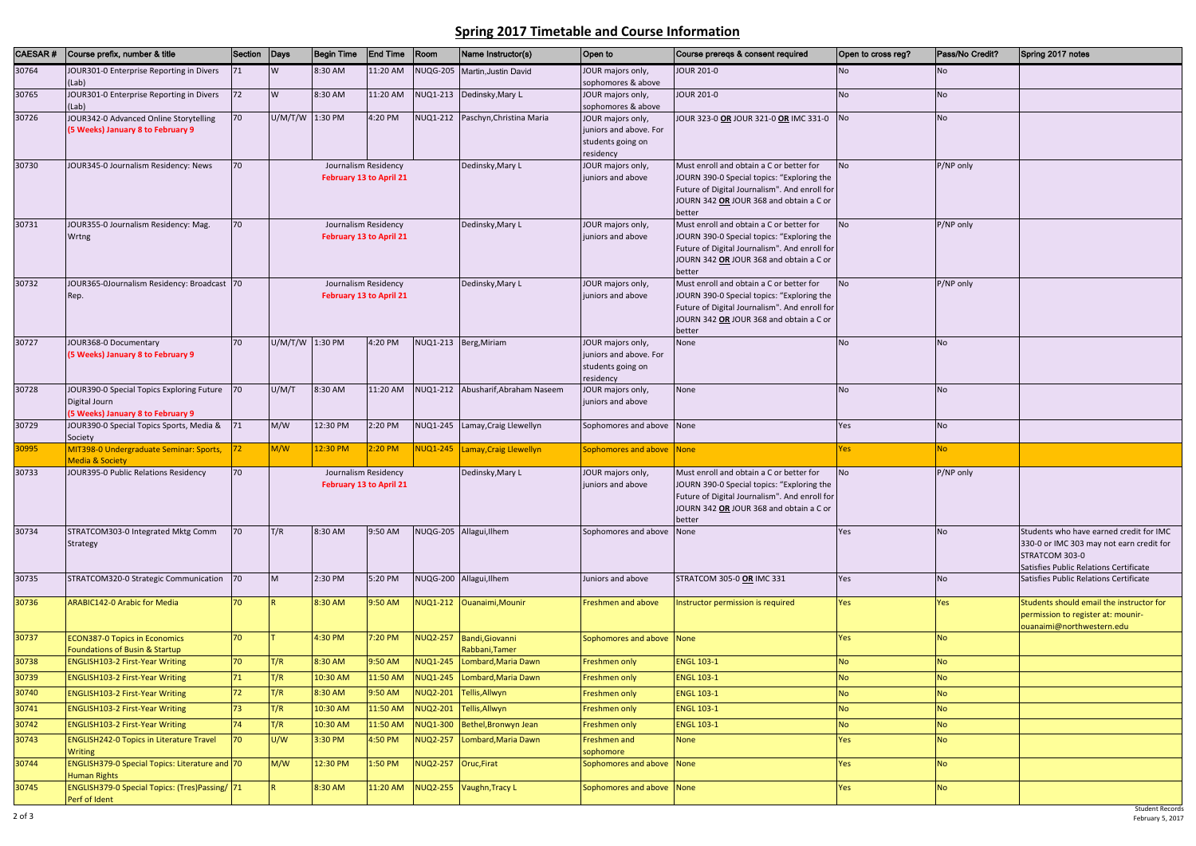## **Spring 2017 Timetable and Course Information**

| Open to cross reg? | Pass/No Credit? | Spring 2017 notes                                                                                                                               |
|--------------------|-----------------|-------------------------------------------------------------------------------------------------------------------------------------------------|
| No                 | No              |                                                                                                                                                 |
| No                 | <b>No</b>       |                                                                                                                                                 |
| No                 | No              |                                                                                                                                                 |
| No                 | P/NP only       |                                                                                                                                                 |
| No                 | P/NP only       |                                                                                                                                                 |
| No                 | P/NP only       |                                                                                                                                                 |
| No                 | No              |                                                                                                                                                 |
| No                 | No              |                                                                                                                                                 |
| Yes                | No              |                                                                                                                                                 |
| Yes                | <b>No</b>       |                                                                                                                                                 |
| No                 | P/NP only       |                                                                                                                                                 |
| Yes                | <b>No</b>       | Students who have earned credit for IMC<br>330-0 or IMC 303 may not earn credit for<br>STRATCOM 303-0<br>Satisfies Public Relations Certificate |
| Yes                | <b>No</b>       | Satisfies Public Relations Certificate                                                                                                          |
| Yes                | Yes             | Students should email the instructor for<br>permission to register at: mounir-<br>ouanaimi@northwestern.edu                                     |
| Yes                | <b>No</b>       |                                                                                                                                                 |
| <b>No</b>          | <b>No</b>       |                                                                                                                                                 |
| <b>No</b>          | <b>No</b>       |                                                                                                                                                 |
| <b>No</b>          | <b>No</b>       |                                                                                                                                                 |
| <b>No</b>          | <b>No</b>       |                                                                                                                                                 |
| <b>No</b>          | <b>No</b>       |                                                                                                                                                 |
| Yes                | <b>No</b>       |                                                                                                                                                 |
| Yes                | <b>No</b>       |                                                                                                                                                 |
| Yes                | <b>No</b>       |                                                                                                                                                 |

| CAESAR# | Course prefix, number & title                                                                   | Section Days |                                                        | <b>Begin Time</b> | <b>End Time</b>                                        | $ $ Room             | Name Instructor(s)                         | Open to                                                                       | Course preregs & consent required                                                                                                                                                            | Open to cross reg? | Pass/No Credit? | Spring 2017 notes                                                                                                                               |
|---------|-------------------------------------------------------------------------------------------------|--------------|--------------------------------------------------------|-------------------|--------------------------------------------------------|----------------------|--------------------------------------------|-------------------------------------------------------------------------------|----------------------------------------------------------------------------------------------------------------------------------------------------------------------------------------------|--------------------|-----------------|-------------------------------------------------------------------------------------------------------------------------------------------------|
| 30764   | JOUR301-0 Enterprise Reporting in Divers<br>(Lab)                                               | 71           | W                                                      | 8:30 AM           | 11:20 AM                                               |                      | NUQG-205 Martin, Justin David              | JOUR majors only,<br>sophomores & above                                       | <b>JOUR 201-0</b>                                                                                                                                                                            | <b>No</b>          | N <sub>o</sub>  |                                                                                                                                                 |
| 30765   | JOUR301-0 Enterprise Reporting in Divers<br>(Lab)                                               | 72           | W                                                      | 8:30 AM           | 11:20 AM                                               | NUQ1-213             | Dedinsky, Mary L                           | JOUR majors only,<br>sophomores & above                                       | <b>JOUR 201-0</b>                                                                                                                                                                            | <b>No</b>          | <b>No</b>       |                                                                                                                                                 |
| 30726   | JOUR342-0 Advanced Online Storytelling<br>(5 Weeks) January 8 to February 9                     | 70           |                                                        | U/M/T/W 1:30 PM   | 4:20 PM                                                |                      | NUQ1-212 Paschyn, Christina Maria          | JOUR majors only,<br>juniors and above. For<br>students going on<br>residency | JOUR 323-0 OR JOUR 321-0 OR IMC 331-0                                                                                                                                                        | N <sub>o</sub>     | <b>No</b>       |                                                                                                                                                 |
| 30730   | JOUR345-0 Journalism Residency: News                                                            | 70           |                                                        |                   | Journalism Residency<br><b>February 13 to April 21</b> |                      | Dedinsky, Mary L                           | JOUR majors only,<br>juniors and above                                        | Must enroll and obtain a C or better for<br>JOURN 390-0 Special topics: "Exploring the<br>Future of Digital Journalism". And enroll for<br>JOURN 342 OR JOUR 368 and obtain a C or<br>better | N <sub>O</sub>     | P/NP only       |                                                                                                                                                 |
| 30731   | JOUR355-0 Journalism Residency: Mag.<br>Wrtng                                                   | 70           | Journalism Residency<br><b>February 13 to April 21</b> |                   |                                                        |                      | Dedinsky, Mary L                           | JOUR majors only,<br>juniors and above                                        | Must enroll and obtain a C or better for<br>JOURN 390-0 Special topics: "Exploring the<br>Future of Digital Journalism". And enroll for<br>JOURN 342 OR JOUR 368 and obtain a C or<br>better | <b>No</b>          | P/NP only       |                                                                                                                                                 |
| 30732   | JOUR365-0Journalism Residency: Broadcast 70<br>Rep.                                             |              | Journalism Residency<br><b>February 13 to April 21</b> |                   |                                                        |                      | Dedinsky, Mary L                           | JOUR majors only,<br>juniors and above                                        | Must enroll and obtain a C or better for<br>JOURN 390-0 Special topics: "Exploring the<br>Future of Digital Journalism". And enroll for<br>JOURN 342 OR JOUR 368 and obtain a C or<br>better | <b>No</b>          | P/NP only       |                                                                                                                                                 |
| 30727   | JOUR368-0 Documentary<br>(5 Weeks) January 8 to February 9                                      | 70           | U/M/T/W 1:30 PM                                        |                   | 4:20 PM                                                |                      | NUQ1-213 Berg, Miriam                      | JOUR majors only,<br>juniors and above. For<br>students going on<br>residency | None                                                                                                                                                                                         | <b>No</b>          | <b>No</b>       |                                                                                                                                                 |
| 30728   | JOUR390-0 Special Topics Exploring Future<br>Digital Journ<br>(5 Weeks) January 8 to February 9 | 70           | U/M/T                                                  | 8:30 AM           | 11:20 AM                                               |                      | NUQ1-212 Abusharif, Abraham Naseem         | JOUR majors only,<br>juniors and above                                        | None                                                                                                                                                                                         | <b>No</b>          | <b>No</b>       |                                                                                                                                                 |
| 30729   | JOUR390-0 Special Topics Sports, Media &<br>Society                                             | 71           | M/W                                                    | 12:30 PM          | 2:20 PM                                                |                      | NUQ1-245 Lamay, Craig Llewellyn            | Sophomores and above None                                                     |                                                                                                                                                                                              | Yes                | <b>No</b>       |                                                                                                                                                 |
| 30995   | MIT398-0 Undergraduate Seminar: Sports,                                                         | 72           | M/W                                                    | 12:30 PM          | 2:20 PM                                                |                      | NUQ1-245 Lamay, Craig Llewellyn            | Sophomores and above None                                                     |                                                                                                                                                                                              | <b>Yes</b>         | No.             |                                                                                                                                                 |
| 30733   | <b>Media &amp; Society</b><br>JOUR395-0 Public Relations Residency                              | 70           |                                                        |                   | Journalism Residency                                   |                      | Dedinsky, Mary L                           | JOUR majors only,                                                             | Must enroll and obtain a C or better for                                                                                                                                                     | <b>No</b>          | P/NP only       |                                                                                                                                                 |
|         |                                                                                                 |              |                                                        |                   | <b>February 13 to April 21</b>                         |                      |                                            | juniors and above                                                             | JOURN 390-0 Special topics: "Exploring the<br>Future of Digital Journalism". And enroll for<br>JOURN 342 OR JOUR 368 and obtain a C or<br>better                                             |                    |                 |                                                                                                                                                 |
| 30734   | STRATCOM303-0 Integrated Mktg Comm<br>Strategy                                                  | 70           | T/R                                                    | 8:30 AM           | 9:50 AM                                                |                      | NUQG-205 Allagui, Ilhem                    | Sophomores and above                                                          | None                                                                                                                                                                                         | Yes                | <b>No</b>       | Students who have earned credit for IMC<br>330-0 or IMC 303 may not earn credit for<br>STRATCOM 303-0<br>Satisfies Public Relations Certificate |
| 30735   | STRATCOM320-0 Strategic Communication 70                                                        |              | M                                                      | 2:30 PM           | 5:20 PM                                                |                      | NUQG-200 Allagui, Ilhem                    | Juniors and above                                                             | STRATCOM 305-0 OR IMC 331                                                                                                                                                                    | Yes                | <b>No</b>       | Satisfies Public Relations Certificate                                                                                                          |
| 30736   | <b>ARABIC142-0 Arabic for Media</b>                                                             | 70           |                                                        | 8:30 AM           | 9:50 AM                                                |                      | NUQ1-212 Ouanaimi, Mounir                  | Freshmen and above                                                            | Instructor permission is required                                                                                                                                                            | <b>Yes</b>         | Yes             | Students should email the instructor for<br>permission to register at: mounir-<br>ouanaimi@northwestern.edu                                     |
| 30737   | <b>ECON387-0 Topics in Economics</b><br>Foundations of Busin & Startup                          | 70           |                                                        | 4:30 PM           | 7:20 PM                                                |                      | NUQ2-257 Bandi, Giovanni<br>Rabbani, Tamer | Sophomores and above None                                                     |                                                                                                                                                                                              | Yes                | <b>No</b>       |                                                                                                                                                 |
| 30738   | <b>ENGLISH103-2 First-Year Writing</b>                                                          | 70           | T/R                                                    | 8:30 AM           | 9:50 AM                                                |                      | NUQ1-245 Lombard, Maria Dawn               | Freshmen only                                                                 | <b>ENGL 103-1</b>                                                                                                                                                                            | <b>No</b>          | <b>No</b>       |                                                                                                                                                 |
| 30739   | <b>ENGLISH103-2 First-Year Writing</b>                                                          | 71           | T/R                                                    | 10:30 AM          | 11:50 AM                                               |                      | NUQ1-245 Lombard, Maria Dawn               | Freshmen only                                                                 | <b>ENGL 103-1</b>                                                                                                                                                                            | <b>No</b>          | <b>No</b>       |                                                                                                                                                 |
| 30740   | <b>ENGLISH103-2 First-Year Writing</b>                                                          | 72           | T/R                                                    | 8:30 AM           | 9:50 AM                                                |                      | NUQ2-201 Tellis, Allwyn                    | Freshmen only                                                                 | <b>ENGL 103-1</b>                                                                                                                                                                            | <b>No</b>          | <b>No</b>       |                                                                                                                                                 |
| 30741   | <b>ENGLISH103-2 First-Year Writing</b>                                                          | 73           | T/R                                                    | 10:30 AM          | 11:50 AM                                               |                      | NUQ2-201 Tellis, Allwyn                    | Freshmen only                                                                 | <b>ENGL 103-1</b>                                                                                                                                                                            | <b>No</b>          | No              |                                                                                                                                                 |
| 30742   | <b>ENGLISH103-2 First-Year Writing</b>                                                          | 74           | T/R                                                    | 10:30 AM          | 11:50 AM                                               |                      | NUQ1-300 Bethel, Bronwyn Jean              | Freshmen only                                                                 | <b>ENGL 103-1</b>                                                                                                                                                                            | <b>No</b>          | <b>No</b>       |                                                                                                                                                 |
| 30743   | <b>ENGLISH242-0 Topics in Literature Travel</b><br><b>Writing</b>                               | 70           | U/W                                                    | 3:30 PM           | 4:50 PM                                                |                      | NUQ2-257 Lombard, Maria Dawn               | Freshmen and<br>sophomore                                                     | <b>None</b>                                                                                                                                                                                  | Yes                | No              |                                                                                                                                                 |
| 30744   | ENGLISH379-0 Special Topics: Literature and 70<br><b>Human Rights</b>                           |              | M/W                                                    | 12:30 PM          | 1:50 PM                                                | NUQ2-257 Oruc, Firat |                                            | Sophomores and above None                                                     |                                                                                                                                                                                              | Yes                | <b>No</b>       |                                                                                                                                                 |
| 30745   | ENGLISH379-0 Special Topics: (Tres)Passing/ 71<br>Perf of Ident                                 |              |                                                        | 8:30 AM           | 11:20 AM                                               |                      | NUQ2-255 Vaughn, Tracy L                   | Sophomores and above None                                                     |                                                                                                                                                                                              | Yes                | No              |                                                                                                                                                 |